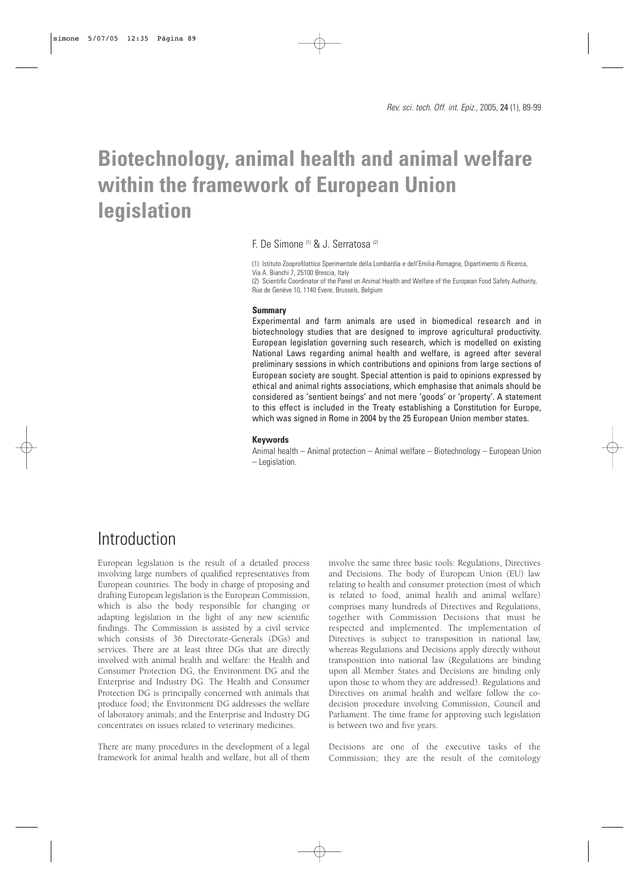# **Biotechnology, animal health and animal welfare within the framework of European Union legislation**

F. De Simone (1) & J. Serratosa (2)

(1) Istituto Zooprofilattico Sperimentale della Lombardia e dell'Emilia-Romagna, Dipartimento di Ricerca, Via A. Bianchi 7, 25100 Brescia, Italy

(2) Scientific Coordinator of the Panel on Animal Health and Welfare of the European Food Safety Authority, Rue de Genève 10, 1140 Evere, Brussels, Belgium

#### **Summary**

Experimental and farm animals are used in biomedical research and in biotechnology studies that are designed to improve agricultural productivity. European legislation governing such research, which is modelled on existing National Laws regarding animal health and welfare, is agreed after several preliminary sessions in which contributions and opinions from large sections of European society are sought. Special attention is paid to opinions expressed by ethical and animal rights associations, which emphasise that animals should be considered as 'sentient beings' and not mere 'goods' or 'property'. A statement to this effect is included in the Treaty establishing a Constitution for Europe, which was signed in Rome in 2004 by the 25 European Union member states.

### **Keywords**

Animal health – Animal protection – Animal welfare – Biotechnology – European Union – Legislation.

### **Introduction**

European legislation is the result of a detailed process involving large numbers of qualified representatives from European countries. The body in charge of proposing and drafting European legislation is the European Commission, which is also the body responsible for changing or adapting legislation in the light of any new scientific findings. The Commission is assisted by a civil service which consists of 36 Directorate-Generals (DGs) and services. There are at least three DGs that are directly involved with animal health and welfare: the Health and Consumer Protection DG, the Environment DG and the Enterprise and Industry DG. The Health and Consumer Protection DG is principally concerned with animals that produce food; the Environment DG addresses the welfare of laboratory animals; and the Enterprise and Industry DG concentrates on issues related to veterinary medicines.

There are many procedures in the development of a legal framework for animal health and welfare, but all of them

involve the same three basic tools: Regulations, Directives and Decisions. The body of European Union (EU) law relating to health and consumer protection (most of which is related to food, animal health and animal welfare) comprises many hundreds of Directives and Regulations, together with Commission Decisions that must be respected and implemented. The implementation of Directives is subject to transposition in national law, whereas Regulations and Decisions apply directly without transposition into national law (Regulations are binding upon all Member States and Decisions are binding only upon those to whom they are addressed). Regulations and Directives on animal health and welfare follow the codecision procedure involving Commission, Council and Parliament. The time frame for approving such legislation is between two and five years.

Decisions are one of the executive tasks of the Commission; they are the result of the comitology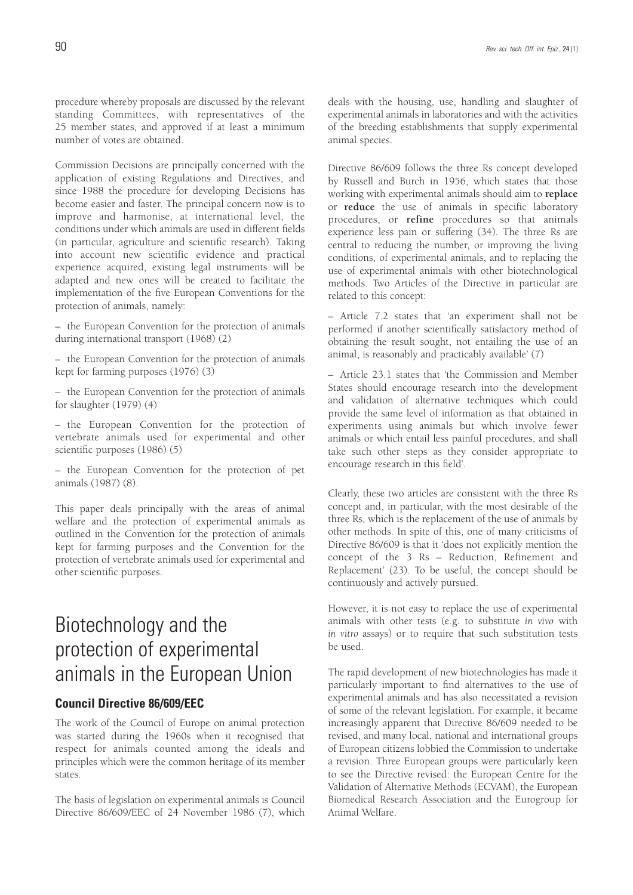procedure whereby proposals are discussed by the relevant standing Committees, with representatives of the 25 member states, and approved if at least a minimum number of votes are obtained.

Commission Decisions are principally concerned with the application of existing Regulations and Directives, and since 1988 the procedure for developing Decisions has become easier and faster. The principal concern now is to improve and harmonise, at international level, the conditions under which animals are used in different fields (in particular, agriculture and scientific research). Taking into account new scientific evidence and practical experience acquired, existing legal instruments will be adapted and new ones will be created to facilitate the implementation of the five European Conventions for the protection of animals, namely:

– the European Convention for the protection of animals during international transport (1968) (2)

– the European Convention for the protection of animals kept for farming purposes (1976) (3)

– the European Convention for the protection of animals for slaughter (1979) (4)

– the European Convention for the protection of vertebrate animals used for experimental and other scientific purposes (1986) (5)

– the European Convention for the protection of pet animals (1987) (8).

This paper deals principally with the areas of animal welfare and the protection of experimental animals as outlined in the Convention for the protection of animals kept for farming purposes and the Convention for the protection of vertebrate animals used for experimental and other scientific purposes.

# Biotechnology and the protection of experimental animals in the European Union

### **Council Directive 86/609/EEC**

The work of the Council of Europe on animal protection was started during the 1960s when it recognised that respect for animals counted among the ideals and principles which were the common heritage of its member states.

The basis of legislation on experimental animals is Council Directive 86/609/EEC of 24 November 1986 (7), which deals with the housing, use, handling and slaughter of experimental animals in laboratories and with the activities of the breeding establishments that supply experimental animal species.

Directive 86/609 follows the three Rs concept developed by Russell and Burch in 1956, which states that those working with experimental animals should aim to **replace** or **reduce** the use of animals in specific laboratory procedures, or **refine** procedures so that animals experience less pain or suffering (34). The three Rs are central to reducing the number, or improving the living conditions, of experimental animals, and to replacing the use of experimental animals with other biotechnological methods. Two Articles of the Directive in particular are related to this concept:

– Article 7.2 states that 'an experiment shall not be performed if another scientifically satisfactory method of obtaining the result sought, not entailing the use of an animal, is reasonably and practicably available' (7)

– Article 23.1 states that 'the Commission and Member States should encourage research into the development and validation of alternative techniques which could provide the same level of information as that obtained in experiments using animals but which involve fewer animals or which entail less painful procedures, and shall take such other steps as they consider appropriate to encourage research in this field'.

Clearly, these two articles are consistent with the three Rs concept and, in particular, with the most desirable of the three Rs, which is the replacement of the use of animals by other methods. In spite of this, one of many criticisms of Directive 86/609 is that it 'does not explicitly mention the concept of the 3 Rs – Reduction, Refinement and Replacement' (23). To be useful, the concept should be continuously and actively pursued.

However, it is not easy to replace the use of experimental animals with other tests (e.g. to substitute *in vivo* with *in vitro* assays) or to require that such substitution tests be used.

The rapid development of new biotechnologies has made it particularly important to find alternatives to the use of experimental animals and has also necessitated a revision of some of the relevant legislation. For example, it became increasingly apparent that Directive 86/609 needed to be revised, and many local, national and international groups of European citizens lobbied the Commission to undertake a revision. Three European groups were particularly keen to see the Directive revised: the European Centre for the Validation of Alternative Methods (ECVAM), the European Biomedical Research Association and the Eurogroup for Animal Welfare.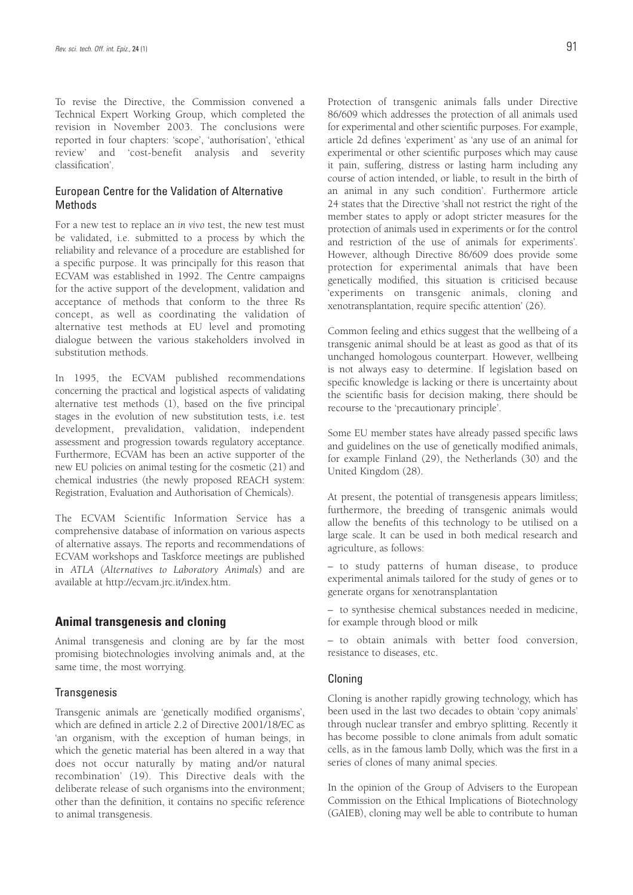To revise the Directive, the Commission convened a Technical Expert Working Group, which completed the revision in November 2003. The conclusions were reported in four chapters: 'scope', 'authorisation', 'ethical review' and 'cost-benefit analysis and severity classification'.

### European Centre for the Validation of Alternative Methods

For a new test to replace an *in vivo* test, the new test must be validated, i.e. submitted to a process by which the reliability and relevance of a procedure are established for a specific purpose. It was principally for this reason that ECVAM was established in 1992. The Centre campaigns for the active support of the development, validation and acceptance of methods that conform to the three Rs concept, as well as coordinating the validation of alternative test methods at EU level and promoting dialogue between the various stakeholders involved in substitution methods.

In 1995, the ECVAM published recommendations concerning the practical and logistical aspects of validating alternative test methods (1), based on the five principal stages in the evolution of new substitution tests, i.e. test development, prevalidation, validation, independent assessment and progression towards regulatory acceptance. Furthermore, ECVAM has been an active supporter of the new EU policies on animal testing for the cosmetic (21) and chemical industries (the newly proposed REACH system: Registration, Evaluation and Authorisation of Chemicals).

The ECVAM Scientific Information Service has a comprehensive database of information on various aspects of alternative assays. The reports and recommendations of ECVAM workshops and Taskforce meetings are published in *ATLA* (*Alternatives to Laboratory Animals*) and are available at http://ecvam.jrc.it/index.htm.

### **Animal transgenesis and cloning**

Animal transgenesis and cloning are by far the most promising biotechnologies involving animals and, at the same time, the most worrying.

### **Transgenesis**

Transgenic animals are 'genetically modified organisms', which are defined in article 2.2 of Directive 2001/18/EC as 'an organism, with the exception of human beings, in which the genetic material has been altered in a way that does not occur naturally by mating and/or natural recombination' (19). This Directive deals with the deliberate release of such organisms into the environment; other than the definition, it contains no specific reference to animal transgenesis.

Protection of transgenic animals falls under Directive 86/609 which addresses the protection of all animals used for experimental and other scientific purposes. For example, article 2d defines 'experiment' as 'any use of an animal for experimental or other scientific purposes which may cause it pain, suffering, distress or lasting harm including any course of action intended, or liable, to result in the birth of an animal in any such condition'. Furthermore article 24 states that the Directive 'shall not restrict the right of the member states to apply or adopt stricter measures for the protection of animals used in experiments or for the control and restriction of the use of animals for experiments'. However, although Directive 86/609 does provide some protection for experimental animals that have been genetically modified, this situation is criticised because 'experiments on transgenic animals, cloning and xenotransplantation, require specific attention' (26).

Common feeling and ethics suggest that the wellbeing of a transgenic animal should be at least as good as that of its unchanged homologous counterpart. However, wellbeing is not always easy to determine. If legislation based on specific knowledge is lacking or there is uncertainty about the scientific basis for decision making, there should be recourse to the 'precautionary principle'.

Some EU member states have already passed specific laws and guidelines on the use of genetically modified animals, for example Finland (29), the Netherlands (30) and the United Kingdom (28).

At present, the potential of transgenesis appears limitless; furthermore, the breeding of transgenic animals would allow the benefits of this technology to be utilised on a large scale. It can be used in both medical research and agriculture, as follows:

– to study patterns of human disease, to produce experimental animals tailored for the study of genes or to generate organs for xenotransplantation

– to synthesise chemical substances needed in medicine, for example through blood or milk

– to obtain animals with better food conversion, resistance to diseases, etc.

#### Cloning

Cloning is another rapidly growing technology, which has been used in the last two decades to obtain 'copy animals' through nuclear transfer and embryo splitting. Recently it has become possible to clone animals from adult somatic cells, as in the famous lamb Dolly, which was the first in a series of clones of many animal species.

In the opinion of the Group of Advisers to the European Commission on the Ethical Implications of Biotechnology (GAIEB), cloning may well be able to contribute to human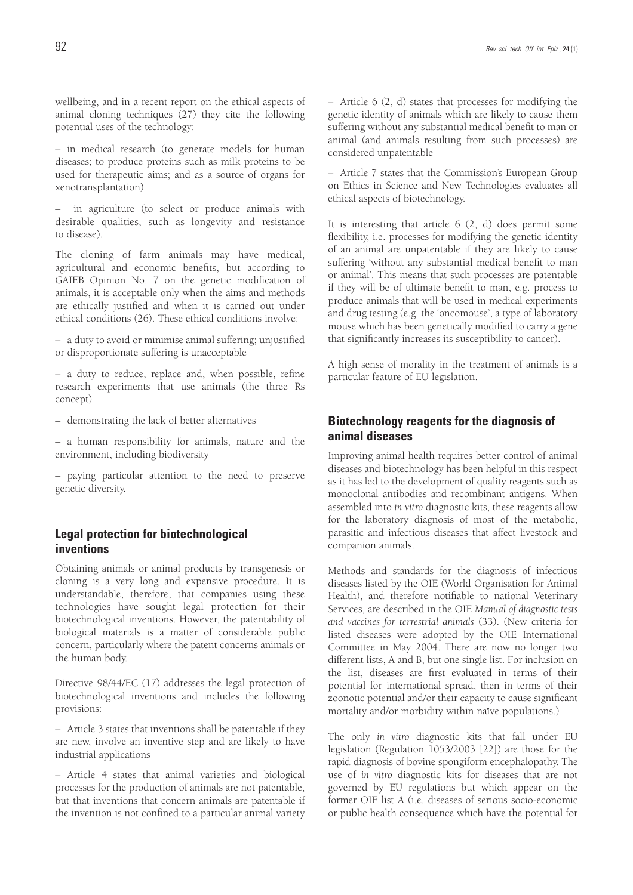wellbeing, and in a recent report on the ethical aspects of animal cloning techniques (27) they cite the following potential uses of the technology:

– in medical research (to generate models for human diseases; to produce proteins such as milk proteins to be used for therapeutic aims; and as a source of organs for xenotransplantation)

in agriculture (to select or produce animals with desirable qualities, such as longevity and resistance to disease).

The cloning of farm animals may have medical, agricultural and economic benefits, but according to GAIEB Opinion No. 7 on the genetic modification of animals, it is acceptable only when the aims and methods are ethically justified and when it is carried out under ethical conditions (26). These ethical conditions involve:

– a duty to avoid or minimise animal suffering; unjustified or disproportionate suffering is unacceptable

– a duty to reduce, replace and, when possible, refine research experiments that use animals (the three Rs concept)

– demonstrating the lack of better alternatives

– a human responsibility for animals, nature and the environment, including biodiversity

– paying particular attention to the need to preserve genetic diversity.

### **Legal protection for biotechnological inventions**

Obtaining animals or animal products by transgenesis or cloning is a very long and expensive procedure. It is understandable, therefore, that companies using these technologies have sought legal protection for their biotechnological inventions. However, the patentability of biological materials is a matter of considerable public concern, particularly where the patent concerns animals or the human body.

Directive 98/44/EC (17) addresses the legal protection of biotechnological inventions and includes the following provisions:

– Article 3 states that inventions shall be patentable if they are new, involve an inventive step and are likely to have industrial applications

– Article 4 states that animal varieties and biological processes for the production of animals are not patentable, but that inventions that concern animals are patentable if the invention is not confined to a particular animal variety – Article 6 (2, d) states that processes for modifying the genetic identity of animals which are likely to cause them suffering without any substantial medical benefit to man or animal (and animals resulting from such processes) are considered unpatentable

– Article 7 states that the Commission's European Group on Ethics in Science and New Technologies evaluates all ethical aspects of biotechnology.

It is interesting that article 6 (2, d) does permit some flexibility, i.e. processes for modifying the genetic identity of an animal are unpatentable if they are likely to cause suffering 'without any substantial medical benefit to man or animal'. This means that such processes are patentable if they will be of ultimate benefit to man, e.g. process to produce animals that will be used in medical experiments and drug testing (e.g. the 'oncomouse', a type of laboratory mouse which has been genetically modified to carry a gene that significantly increases its susceptibility to cancer).

A high sense of morality in the treatment of animals is a particular feature of EU legislation.

### **Biotechnology reagents for the diagnosis of animal diseases**

Improving animal health requires better control of animal diseases and biotechnology has been helpful in this respect as it has led to the development of quality reagents such as monoclonal antibodies and recombinant antigens. When assembled into *in vitro* diagnostic kits, these reagents allow for the laboratory diagnosis of most of the metabolic, parasitic and infectious diseases that affect livestock and companion animals.

Methods and standards for the diagnosis of infectious diseases listed by the OIE (World Organisation for Animal Health), and therefore notifiable to national Veterinary Services, are described in the OIE *Manual of diagnostic tests and vaccines for terrestrial animals* (33). (New criteria for listed diseases were adopted by the OIE International Committee in May 2004. There are now no longer two different lists, A and B, but one single list. For inclusion on the list, diseases are first evaluated in terms of their potential for international spread, then in terms of their zoonotic potential and/or their capacity to cause significant mortality and/or morbidity within naïve populations.)

The only *in vitro* diagnostic kits that fall under EU legislation (Regulation 1053/2003 [22]) are those for the rapid diagnosis of bovine spongiform encephalopathy. The use of *in vitro* diagnostic kits for diseases that are not governed by EU regulations but which appear on the former OIE list A (i.e. diseases of serious socio-economic or public health consequence which have the potential for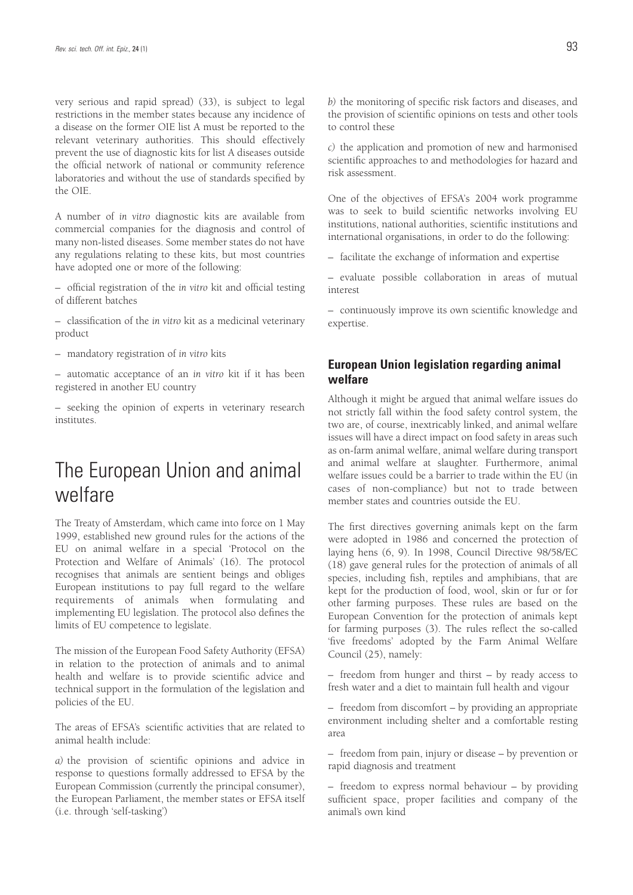very serious and rapid spread) (33), is subject to legal restrictions in the member states because any incidence of a disease on the former OIE list A must be reported to the relevant veterinary authorities. This should effectively prevent the use of diagnostic kits for list A diseases outside the official network of national or community reference laboratories and without the use of standards specified by the OIE.

A number of *in vitro* diagnostic kits are available from commercial companies for the diagnosis and control of many non-listed diseases. Some member states do not have any regulations relating to these kits, but most countries have adopted one or more of the following:

– official registration of the *in vitro* kit and official testing of different batches

– classification of the *in vitro* kit as a medicinal veterinary product

– mandatory registration of *in vitro* kits

– automatic acceptance of an *in vitro* kit if it has been registered in another EU country

– seeking the opinion of experts in veterinary research institutes.

# The European Union and animal welfare

The Treaty of Amsterdam, which came into force on 1 May 1999, established new ground rules for the actions of the EU on animal welfare in a special 'Protocol on the Protection and Welfare of Animals' (16). The protocol recognises that animals are sentient beings and obliges European institutions to pay full regard to the welfare requirements of animals when formulating and implementing EU legislation. The protocol also defines the limits of EU competence to legislate.

The mission of the European Food Safety Authority (EFSA) in relation to the protection of animals and to animal health and welfare is to provide scientific advice and technical support in the formulation of the legislation and policies of the EU.

The areas of EFSA's scientific activities that are related to animal health include:

*a)* the provision of scientific opinions and advice in response to questions formally addressed to EFSA by the European Commission (currently the principal consumer), the European Parliament, the member states or EFSA itself (i.e. through 'self-tasking')

*b)* the monitoring of specific risk factors and diseases, and the provision of scientific opinions on tests and other tools to control these

*c)* the application and promotion of new and harmonised scientific approaches to and methodologies for hazard and risk assessment.

One of the objectives of EFSA's 2004 work programme was to seek to build scientific networks involving EU institutions, national authorities, scientific institutions and international organisations, in order to do the following:

– facilitate the exchange of information and expertise

– evaluate possible collaboration in areas of mutual interest

– continuously improve its own scientific knowledge and expertise.

### **European Union legislation regarding animal welfare**

Although it might be argued that animal welfare issues do not strictly fall within the food safety control system, the two are, of course, inextricably linked, and animal welfare issues will have a direct impact on food safety in areas such as on-farm animal welfare, animal welfare during transport and animal welfare at slaughter. Furthermore, animal welfare issues could be a barrier to trade within the EU (in cases of non-compliance) but not to trade between member states and countries outside the EU.

The first directives governing animals kept on the farm were adopted in 1986 and concerned the protection of laying hens (6, 9). In 1998, Council Directive 98/58/EC (18) gave general rules for the protection of animals of all species, including fish, reptiles and amphibians, that are kept for the production of food, wool, skin or fur or for other farming purposes. These rules are based on the European Convention for the protection of animals kept for farming purposes (3). The rules reflect the so-called 'five freedoms' adopted by the Farm Animal Welfare Council (25), namely:

– freedom from hunger and thirst – by ready access to fresh water and a diet to maintain full health and vigour

– freedom from discomfort – by providing an appropriate environment including shelter and a comfortable resting area

– freedom from pain, injury or disease – by prevention or rapid diagnosis and treatment

– freedom to express normal behaviour – by providing sufficient space, proper facilities and company of the animal's own kind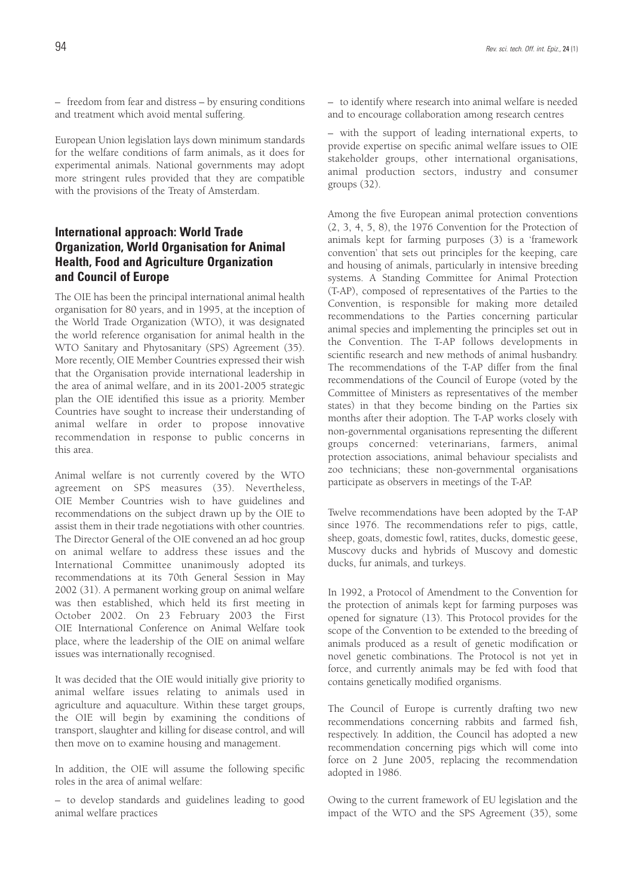– freedom from fear and distress – by ensuring conditions and treatment which avoid mental suffering.

European Union legislation lays down minimum standards for the welfare conditions of farm animals, as it does for experimental animals. National governments may adopt more stringent rules provided that they are compatible with the provisions of the Treaty of Amsterdam.

### **International approach: World Trade Organization, World Organisation for Animal Health, Food and Agriculture Organization and Council of Europe**

The OIE has been the principal international animal health organisation for 80 years, and in 1995, at the inception of the World Trade Organization (WTO), it was designated the world reference organisation for animal health in the WTO Sanitary and Phytosanitary (SPS) Agreement (35). More recently, OIE Member Countries expressed their wish that the Organisation provide international leadership in the area of animal welfare, and in its 2001-2005 strategic plan the OIE identified this issue as a priority. Member Countries have sought to increase their understanding of animal welfare in order to propose innovative recommendation in response to public concerns in this area.

Animal welfare is not currently covered by the WTO agreement on SPS measures (35). Nevertheless, OIE Member Countries wish to have guidelines and recommendations on the subject drawn up by the OIE to assist them in their trade negotiations with other countries. The Director General of the OIE convened an ad hoc group on animal welfare to address these issues and the International Committee unanimously adopted its recommendations at its 70th General Session in May 2002 (31). A permanent working group on animal welfare was then established, which held its first meeting in October 2002. On 23 February 2003 the First OIE International Conference on Animal Welfare took place, where the leadership of the OIE on animal welfare issues was internationally recognised.

It was decided that the OIE would initially give priority to animal welfare issues relating to animals used in agriculture and aquaculture. Within these target groups, the OIE will begin by examining the conditions of transport, slaughter and killing for disease control, and will then move on to examine housing and management.

In addition, the OIE will assume the following specific roles in the area of animal welfare:

– to develop standards and guidelines leading to good animal welfare practices

– to identify where research into animal welfare is needed and to encourage collaboration among research centres

– with the support of leading international experts, to provide expertise on specific animal welfare issues to OIE stakeholder groups, other international organisations, animal production sectors, industry and consumer groups (32).

Among the five European animal protection conventions (2, 3, 4, 5, 8), the 1976 Convention for the Protection of animals kept for farming purposes (3) is a 'framework convention' that sets out principles for the keeping, care and housing of animals, particularly in intensive breeding systems. A Standing Committee for Animal Protection (T-AP), composed of representatives of the Parties to the Convention, is responsible for making more detailed recommendations to the Parties concerning particular animal species and implementing the principles set out in the Convention. The T-AP follows developments in scientific research and new methods of animal husbandry. The recommendations of the T-AP differ from the final recommendations of the Council of Europe (voted by the Committee of Ministers as representatives of the member states) in that they become binding on the Parties six months after their adoption. The T-AP works closely with non-governmental organisations representing the different groups concerned: veterinarians, farmers, animal protection associations, animal behaviour specialists and zoo technicians; these non-governmental organisations participate as observers in meetings of the T-AP.

Twelve recommendations have been adopted by the T-AP since 1976. The recommendations refer to pigs, cattle, sheep, goats, domestic fowl, ratites, ducks, domestic geese, Muscovy ducks and hybrids of Muscovy and domestic ducks, fur animals, and turkeys.

In 1992, a Protocol of Amendment to the Convention for the protection of animals kept for farming purposes was opened for signature (13). This Protocol provides for the scope of the Convention to be extended to the breeding of animals produced as a result of genetic modification or novel genetic combinations. The Protocol is not yet in force, and currently animals may be fed with food that contains genetically modified organisms.

The Council of Europe is currently drafting two new recommendations concerning rabbits and farmed fish, respectively. In addition, the Council has adopted a new recommendation concerning pigs which will come into force on 2 June 2005, replacing the recommendation adopted in 1986.

Owing to the current framework of EU legislation and the impact of the WTO and the SPS Agreement (35), some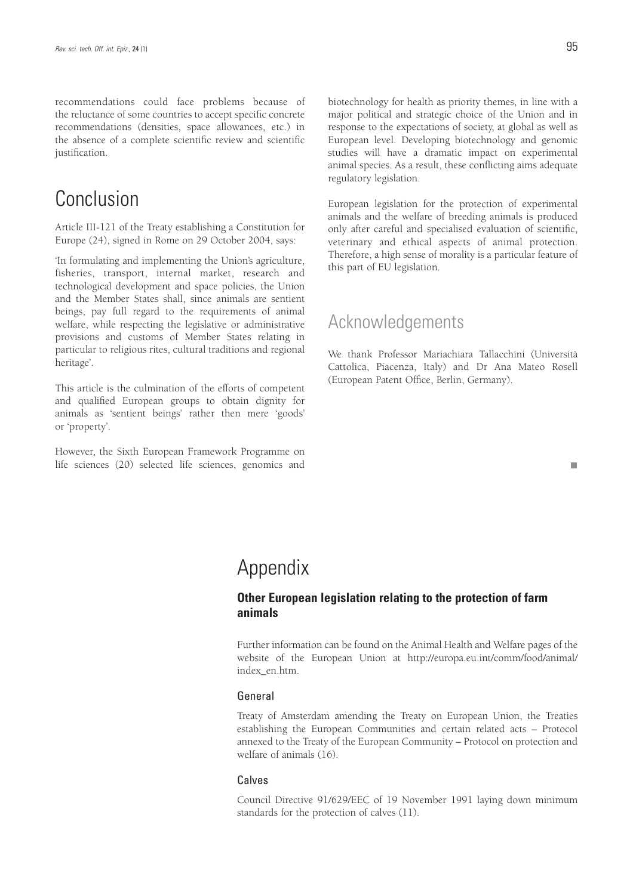recommendations could face problems because of the reluctance of some countries to accept specific concrete recommendations (densities, space allowances, etc.) in the absence of a complete scientific review and scientific justification.

# Conclusion

Article III-121 of the Treaty establishing a Constitution for Europe (24), signed in Rome on 29 October 2004, says:

'In formulating and implementing the Union's agriculture, fisheries, transport, internal market, research and technological development and space policies, the Union and the Member States shall, since animals are sentient beings, pay full regard to the requirements of animal welfare, while respecting the legislative or administrative provisions and customs of Member States relating in particular to religious rites, cultural traditions and regional heritage'.

This article is the culmination of the efforts of competent and qualified European groups to obtain dignity for animals as 'sentient beings' rather then mere 'goods' or 'property'.

However, the Sixth European Framework Programme on life sciences (20) selected life sciences, genomics and biotechnology for health as priority themes, in line with a major political and strategic choice of the Union and in response to the expectations of society, at global as well as European level. Developing biotechnology and genomic studies will have a dramatic impact on experimental animal species. As a result, these conflicting aims adequate regulatory legislation.

European legislation for the protection of experimental animals and the welfare of breeding animals is produced only after careful and specialised evaluation of scientific, veterinary and ethical aspects of animal protection. Therefore, a high sense of morality is a particular feature of this part of EU legislation.

### Acknowledgements

We thank Professor Mariachiara Tallacchini (Università Cattolica, Piacenza, Italy) and Dr Ana Mateo Rosell (European Patent Office, Berlin, Germany).

# Appendix

### **Other European legislation relating to the protection of farm animals**

Further information can be found on the Animal Health and Welfare pages of the website of the European Union at http://europa.eu.int/comm/food/animal/ index\_en.htm.

### General

Treaty of Amsterdam amending the Treaty on European Union, the Treaties establishing the European Communities and certain related acts – Protocol annexed to the Treaty of the European Community – Protocol on protection and welfare of animals (16).

### Calves

Council Directive 91/629/EEC of 19 November 1991 laying down minimum standards for the protection of calves (11).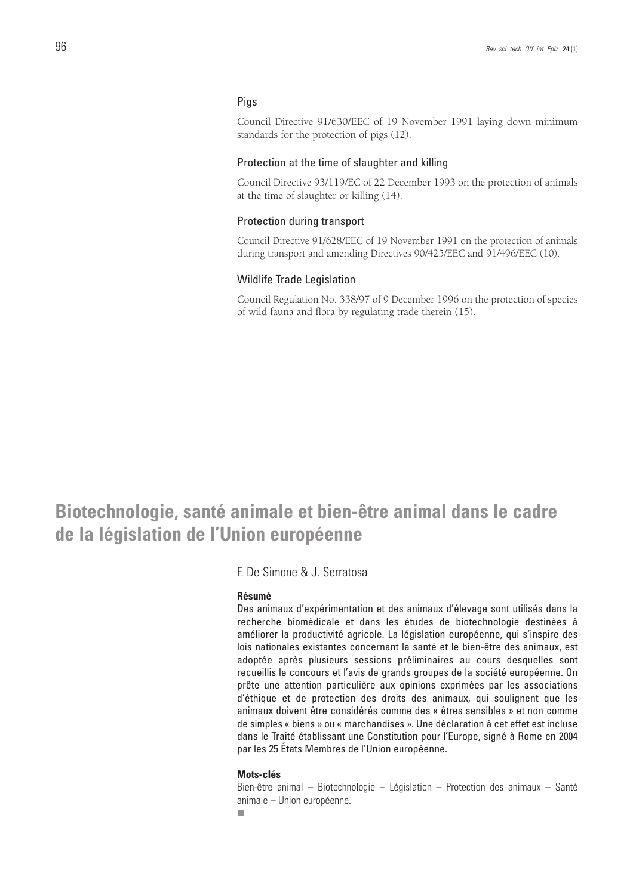### Pigs

Council Directive 91/630/EEC of 19 November 1991 laying down minimum standards for the protection of pigs (12).

#### Protection at the time of slaughter and killing

Council Directive 93/119/EC of 22 December 1993 on the protection of animals at the time of slaughter or killing (14).

### Protection during transport

Council Directive 91/628/EEC of 19 November 1991 on the protection of animals during transport and amending Directives 90/425/EEC and 91/496/EEC (10).

### Wildlife Trade Legislation

Council Regulation No. 338/97 of 9 December 1996 on the protection of species of wild fauna and flora by regulating trade therein (15).

# **Biotechnologie, santé animale et bien-être animal dans le cadre de la législation de l'Union européenne**

F. De Simone & J. Serratosa

#### **Résumé**

Des animaux d'expérimentation et des animaux d'élevage sont utilisés dans la recherche biomédicale et dans les études de biotechnologie destinées à améliorer la productivité agricole. La législation européenne, qui s'inspire des lois nationales existantes concernant la santé et le bien-être des animaux, est adoptée après plusieurs sessions préliminaires au cours desquelles sont recueillis le concours et l'avis de grands groupes de la société européenne. On prête une attention particulière aux opinions exprimées par les associations d'éthique et de protection des droits des animaux, qui soulignent que les animaux doivent être considérés comme des « êtres sensibles » et non comme de simples « biens » ou « marchandises ». Une déclaration à cet effet est incluse dans le Traité établissant une Constitution pour l'Europe, signé à Rome en 2004 par les 25 États Membres de l'Union européenne.

#### **Mots-clés**

Bien-être animal – Biotechnologie – Législation – Protection des animaux – Santé animale – Union européenne.

п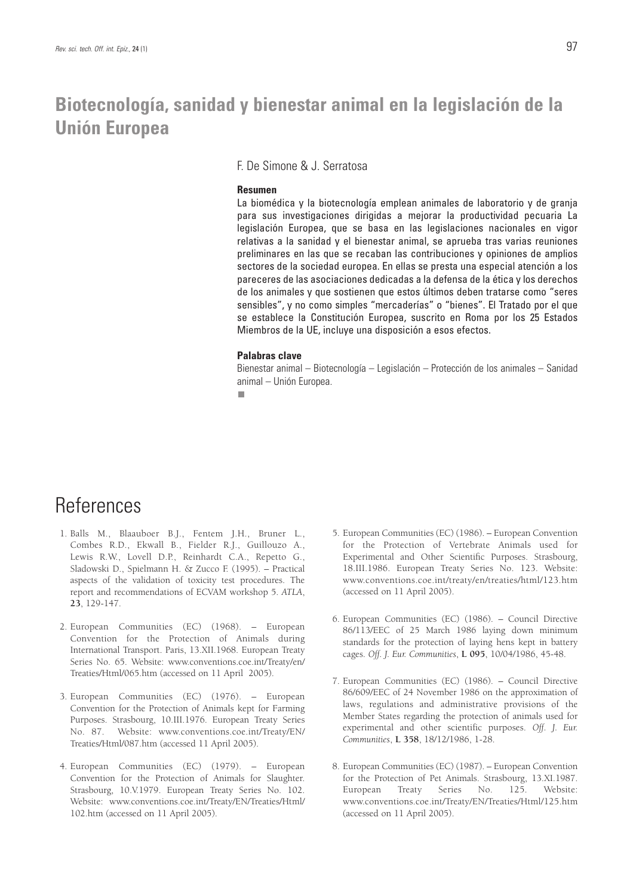# **Biotecnología, sanidad y bienestar animal en la legislación de la Unión Europea**

F. De Simone & J. Serratosa

#### **Resumen**

La biomédica y la biotecnología emplean animales de laboratorio y de granja para sus investigaciones dirigidas a mejorar la productividad pecuaria La legislación Europea, que se basa en las legislaciones nacionales en vigor relativas a la sanidad y el bienestar animal, se aprueba tras varias reuniones preliminares en las que se recaban las contribuciones y opiniones de amplios sectores de la sociedad europea. En ellas se presta una especial atención a los pareceres de las asociaciones dedicadas a la defensa de la ética y los derechos de los animales y que sostienen que estos últimos deben tratarse como "seres sensibles", y no como simples "mercaderías" o "bienes". El Tratado por el que se establece la Constitución Europea, suscrito en Roma por los 25 Estados Miembros de la UE, incluye una disposición a esos efectos.

#### **Palabras clave**

Bienestar animal – Biotecnología – Legislación – Protección de los animales – Sanidad animal – Unión Europea.

# References

- 1. Balls M., Blaauboer B.J., Fentem J.H., Bruner L., Combes R.D., Ekwall B., Fielder R.J., Guillouzo A., Lewis R.W., Lovell D.P., Reinhardt C.A., Repetto G., Sladowski D., Spielmann H. & Zucco F. (1995). – Practical aspects of the validation of toxicity test procedures. The report and recommendations of ECVAM workshop 5. *ATLA*, **23**, 129-147.
- 2. European Communities (EC) (1968). European Convention for the Protection of Animals during International Transport. Paris, 13.XII.1968. European Treaty Series No. 65. Website: www.conventions.coe.int/Treaty/en/ Treaties/Html/065.htm (accessed on 11 April 2005).
- 3. European Communities (EC) (1976). European Convention for the Protection of Animals kept for Farming Purposes. Strasbourg, 10.III.1976. European Treaty Series No. 87. Website: www.conventions.coe.int/Treaty/EN/ Treaties/Html/087.htm (accessed 11 April 2005).
- 4. European Communities (EC) (1979). European Convention for the Protection of Animals for Slaughter. Strasbourg, 10.V.1979. European Treaty Series No. 102. Website: www.conventions.coe.int/Treaty/EN/Treaties/Html/ 102.htm (accessed on 11 April 2005).
- 5. European Communities (EC) (1986). European Convention for the Protection of Vertebrate Animals used for Experimental and Other Scientific Purposes. Strasbourg, 18.III.1986. European Treaty Series No. 123. Website: www.conventions.coe.int/treaty/en/treaties/html/123.htm (accessed on 11 April 2005).
- 6. European Communities (EC) (1986). Council Directive 86/113/EEC of 25 March 1986 laying down minimum standards for the protection of laying hens kept in battery cages. *Off. J. Eur. Communities*, **L 095**, 10/04/1986, 45-48.
- 7. European Communities (EC) (1986). Council Directive 86/609/EEC of 24 November 1986 on the approximation of laws, regulations and administrative provisions of the Member States regarding the protection of animals used for experimental and other scientific purposes. *Off. J. Eur. Communities*, **L 358**, 18/12/1986, 1-28.
- 8. European Communities (EC) (1987). European Convention for the Protection of Pet Animals. Strasbourg, 13.XI.1987. European Treaty Series No. 125. Website: www.conventions.coe.int/Treaty/EN/Treaties/Html/125.htm (accessed on 11 April 2005).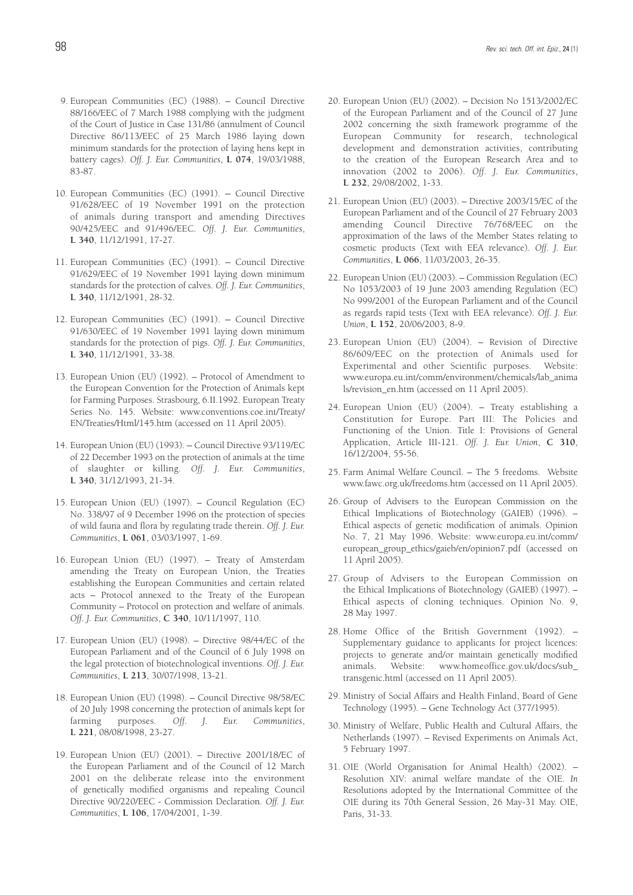- 9. European Communities (EC) (1988). Council Directive 88/166/EEC of 7 March 1988 complying with the judgment of the Court of Justice in Case 131/86 (annulment of Council Directive 86/113/EEC of 25 March 1986 laying down minimum standards for the protection of laying hens kept in battery cages). *Off. J. Eur. Communities*, **L 074**, 19/03/1988, 83-87.
- 10. European Communities (EC) (1991). Council Directive 91/628/EEC of 19 November 1991 on the protection of animals during transport and amending Directives 90/425/EEC and 91/496/EEC. *Off. J. Eur. Communities*, **L 340**, 11/12/1991, 17-27.
- 11. European Communities (EC) (1991). Council Directive 91/629/EEC of 19 November 1991 laying down minimum standards for the protection of calves. *Off. J. Eur. Communities*, **L 340**, 11/12/1991, 28-32.
- 12. European Communities (EC) (1991). Council Directive 91/630/EEC of 19 November 1991 laying down minimum standards for the protection of pigs. *Off. J. Eur. Communities*, **L 340**, 11/12/1991, 33-38.
- 13. European Union (EU) (1992). Protocol of Amendment to the European Convention for the Protection of Animals kept for Farming Purposes. Strasbourg, 6.II.1992. European Treaty Series No. 145. Website: www.conventions.coe.int/Treaty/ EN/Treaties/Html/145.htm (accessed on 11 April 2005).
- 14. European Union (EU) (1993). Council Directive 93/119/EC of 22 December 1993 on the protection of animals at the time of slaughter or killing. *Off. J. Eur. Communities*, **L 340**, 31/12/1993, 21-34.
- 15. European Union (EU) (1997). Council Regulation (EC) No. 338/97 of 9 December 1996 on the protection of species of wild fauna and flora by regulating trade therein. *Off. J. Eur. Communities*, **L 061**, 03/03/1997, 1-69.
- 16. European Union (EU) (1997). Treaty of Amsterdam amending the Treaty on European Union, the Treaties establishing the European Communities and certain related acts – Protocol annexed to the Treaty of the European Community – Protocol on protection and welfare of animals. *Off. J. Eur. Communities*, **C 340**, 10/11/1997, 110.
- 17. European Union (EU) (1998). Directive 98/44/EC of the European Parliament and of the Council of 6 July 1998 on the legal protection of biotechnological inventions. *Off. J. Eur. Communities*, **L 213**, 30/07/1998, 13-21.
- 18. European Union (EU) (1998). Council Directive 98/58/EC of 20 July 1998 concerning the protection of animals kept for farming purposes. *Off. J. Eur. Communities*, **L 221**, 08/08/1998, 23-27.
- 19. European Union (EU) (2001). Directive 2001/18/EC of the European Parliament and of the Council of 12 March 2001 on the deliberate release into the environment of genetically modified organisms and repealing Council Directive 90/220/EEC - Commission Declaration. *Off. J. Eur. Communities*, **L 106**, 17/04/2001, 1-39.
- 20. European Union (EU) (2002). Decision No 1513/2002/EC of the European Parliament and of the Council of 27 June 2002 concerning the sixth framework programme of the European Community for research, technological development and demonstration activities, contributing to the creation of the European Research Area and to innovation (2002 to 2006). *Off. J. Eur. Communities*, **L 232**, 29/08/2002, 1-33.
- 21. European Union (EU) (2003). Directive 2003/15/EC of the European Parliament and of the Council of 27 February 2003 amending Council Directive 76/768/EEC on the approximation of the laws of the Member States relating to cosmetic products (Text with EEA relevance). *Off. J. Eur. Communities*, **L 066**, 11/03/2003, 26-35.
- 22. European Union (EU) (2003). Commission Regulation (EC) No 1053/2003 of 19 June 2003 amending Regulation (EC) No 999/2001 of the European Parliament and of the Council as regards rapid tests (Text with EEA relevance). *Off. J. Eur. Union*, **L 152**, 20/06/2003, 8-9.
- 23. European Union (EU) (2004). Revision of Directive 86/609/EEC on the protection of Animals used for Experimental and other Scientific purposes. Website: www.europa.eu.int/comm/environment/chemicals/lab\_anima ls/revision\_en.htm (accessed on 11 April 2005).
- 24. European Union (EU) (2004). Treaty establishing a Constitution for Europe. Part III: The Policies and Functioning of the Union. Title I: Provisions of General Application, Article III-121. *Off. J. Eur. Union*, **C 310**, 16/12/2004, 55-56.
- 25. Farm Animal Welfare Council. The 5 freedoms. Website www.fawc.org.uk/freedoms.htm (accessed on 11 April 2005).
- 26. Group of Advisers to the European Commission on the Ethical Implications of Biotechnology (GAIEB) (1996). – Ethical aspects of genetic modification of animals. Opinion No. 7, 21 May 1996. Website: www.europa.eu.int/comm/ european\_group\_ethics/gaieb/en/opinion7.pdf (accessed on 11 April 2005).
- 27. Group of Advisers to the European Commission on the Ethical Implications of Biotechnology (GAIEB) (1997). – Ethical aspects of cloning techniques. Opinion No. 9, 28 May 1997.
- 28. Home Office of the British Government (1992). Supplementary guidance to applicants for project licences: projects to generate and/or maintain genetically modified animals. Website: www.homeoffice.gov.uk/docs/sub\_ transgenic.html (accessed on 11 April 2005).
- 29. Ministry of Social Affairs and Health Finland, Board of Gene Technology (1995). – Gene Technology Act (377/1995).
- 30. Ministry of Welfare, Public Health and Cultural Affairs, the Netherlands (1997). – Revised Experiments on Animals Act, 5 February 1997.
- 31. OIE (World Organisation for Animal Health) (2002). Resolution XIV: animal welfare mandate of the OIE. *In* Resolutions adopted by the International Committee of the OIE during its 70th General Session, 26 May-31 May. OIE, Paris, 31-33.